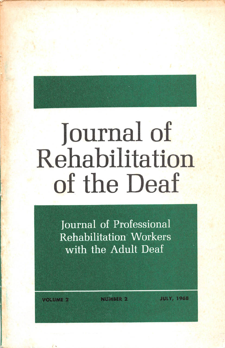# Journal of Rehabilitation of the Deaf

Journal of Professional Rehabilitation Workers with the Adult Deaf

VOLUME 2

**NUMBER 2** 

JULY, 1968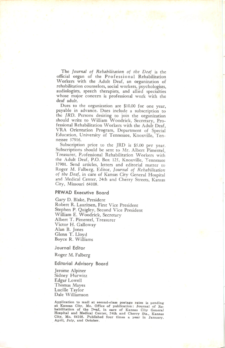The Journal of Rehabilitation of the Deaf is the official organ of the Professional Rehabilitation Workers with the Adult Deaf, an organization of rehabilitation counselors, social workers, psychologists, audiologists, speech therapists, and allied specialties whose major concern is professional work with the deaf adult.

Dues to the organization are \$10.00 for one year, payable in advance. Dues include a subscription to the JRD. Persons desiring to join the organization should write to William Woodrick, Secretary, Pro fessional Rehabilitation Workers with the Adult Deaf, VRA Orientation Program, Department of Special Education, University of Tennessee, Knoxville, Ten nessee 37916.

Subscription price to the JRD is \$5.00 per year. Subscriptions should be sent to Mr. Albert Pimentel, Treasurer, Professional Rehabilitation Workers with the Adult Deaf, P.O. Box 125, Knoxville, Tennessee 37901. Send articles, letters and editorial matter to Roger M. Falberg, Editor, Journal of Rehabilitation of the Deaf, in care of Kansas City General Hospital and Medical Center, 24th and Cherry Streets, Kansas City, Missouri 64108.

#### PRWAD Executive Board

Gary D. Blake, President Robert R. Lauritsen, First Vice President Stephen P. Quigley, Second Vice President William E. Woodrick, Secretary Albert T. Pimentel, Treasurer Victor H. Galloway Alan B. Jones Glenn T. Lloyd Boyce R. Williams

Journal Editor

Roger M. Falberg

#### Editorial Advisory Board

Jerome Alpiner Sidney Hurwitz Edgar Lowell Thomas Mayes Lucille Taylor Dale Williamson

Application to mail at second-class postage rates is pending at Kansas City, Mo. Office of publication: Journal of Re habilitation of the Deaf, in care of Kansas City General Hospital and Medical Center, ?4th and Cherry Sts., Kansas City, Mo. 64108. Published four times a year in January, April, July, and October.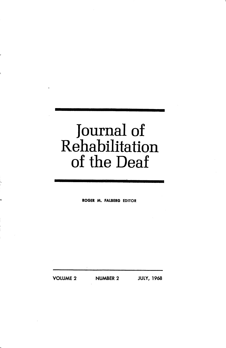## Journal of Rehabilitation of the Deaf

ROGER M. FALBERG EDITOR

VOLUME 2 NUMBER 2 JULY, 1968